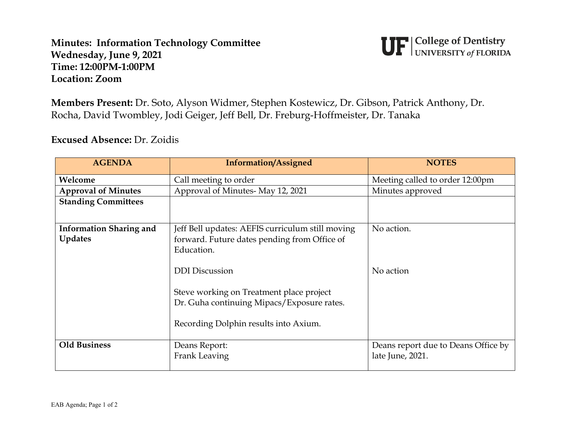## **Minutes: Information Technology Committee Wednesday, June 9, 2021 Time: 12:00PM-1:00PM Location: Zoom**



**Members Present:** Dr. Soto, Alyson Widmer, Stephen Kostewicz, Dr. Gibson, Patrick Anthony, Dr. Rocha, David Twombley, Jodi Geiger, Jeff Bell, Dr. Freburg-Hoffmeister, Dr. Tanaka

**Excused Absence:** Dr. Zoidis

| <b>AGENDA</b>                  | <b>Information/Assigned</b>                      | <b>NOTES</b>                        |
|--------------------------------|--------------------------------------------------|-------------------------------------|
| Welcome                        | Call meeting to order                            | Meeting called to order 12:00pm     |
| <b>Approval of Minutes</b>     | Approval of Minutes-May 12, 2021                 | Minutes approved                    |
| <b>Standing Committees</b>     |                                                  |                                     |
|                                |                                                  |                                     |
| <b>Information Sharing and</b> | Jeff Bell updates: AEFIS curriculum still moving | No action.                          |
| <b>Updates</b>                 | forward. Future dates pending from Office of     |                                     |
|                                | Education.                                       |                                     |
|                                | <b>DDI</b> Discussion                            | No action                           |
|                                | Steve working on Treatment place project         |                                     |
|                                | Dr. Guha continuing Mipacs/Exposure rates.       |                                     |
|                                | Recording Dolphin results into Axium.            |                                     |
| <b>Old Business</b>            | Deans Report:                                    | Deans report due to Deans Office by |
|                                | Frank Leaving                                    | late June, 2021.                    |
|                                |                                                  |                                     |